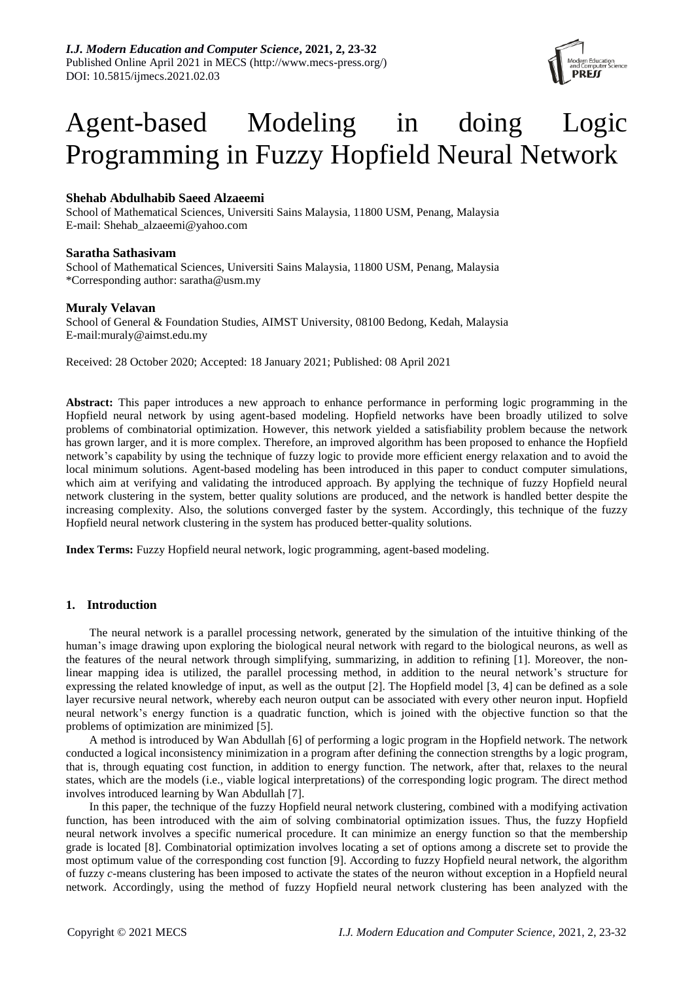

# Agent-based Modeling in doing Logic Programming in Fuzzy Hopfield Neural Network

# **Shehab Abdulhabib Saeed Alzaeemi**

School of Mathematical Sciences, Universiti Sains Malaysia, 11800 USM, Penang, Malaysia E-mail: Shehab\_alzaeemi@yahoo.com

# **Saratha Sathasivam**

School of Mathematical Sciences, Universiti Sains Malaysia, 11800 USM, Penang, Malaysia \*Corresponding author: saratha@usm.my

# **Muraly Velavan**

School of General & Foundation Studies, AIMST University, 08100 Bedong, Kedah, Malaysia E-mail:muraly@aimst.edu.my

Received: 28 October 2020; Accepted: 18 January 2021; Published: 08 April 2021

**Abstract:** This paper introduces a new approach to enhance performance in performing logic programming in the Hopfield neural network by using agent-based modeling. Hopfield networks have been broadly utilized to solve problems of combinatorial optimization. However, this network yielded a satisfiability problem because the network has grown larger, and it is more complex. Therefore, an improved algorithm has been proposed to enhance the Hopfield network's capability by using the technique of fuzzy logic to provide more efficient energy relaxation and to avoid the local minimum solutions. Agent-based modeling has been introduced in this paper to conduct computer simulations, which aim at verifying and validating the introduced approach. By applying the technique of fuzzy Hopfield neural network clustering in the system, better quality solutions are produced, and the network is handled better despite the increasing complexity. Also, the solutions converged faster by the system. Accordingly, this technique of the fuzzy Hopfield neural network clustering in the system has produced better-quality solutions.

**Index Terms:** Fuzzy Hopfield neural network, logic programming, agent-based modeling.

# **1. Introduction**

The neural network is a parallel processing network, generated by the simulation of the intuitive thinking of the human's image drawing upon exploring the biological neural network with regard to the biological neurons, as well as the features of the neural network through simplifying, summarizing, in addition to refining [1]. Moreover, the nonlinear mapping idea is utilized, the parallel processing method, in addition to the neural network's structure for expressing the related knowledge of input, as well as the output [2]. The Hopfield model [3, 4] can be defined as a sole layer recursive neural network, whereby each neuron output can be associated with every other neuron input. Hopfield neural network's energy function is a quadratic function, which is joined with the objective function so that the problems of optimization are minimized [5].

A method is introduced by Wan Abdullah [6] of performing a logic program in the Hopfield network. The network conducted a logical inconsistency minimization in a program after defining the connection strengths by a logic program, that is, through equating cost function, in addition to energy function. The network, after that, relaxes to the neural states, which are the models (i.e., viable logical interpretations) of the corresponding logic program. The direct method involves introduced learning by Wan Abdullah [7].

In this paper, the technique of the fuzzy Hopfield neural network clustering, combined with a modifying activation function, has been introduced with the aim of solving combinatorial optimization issues. Thus, the fuzzy Hopfield neural network involves a specific numerical procedure. It can minimize an energy function so that the membership grade is located [8]. Combinatorial optimization involves locating a set of options among a discrete set to provide the most optimum value of the corresponding cost function [9]. According to fuzzy Hopfield neural network, the algorithm of fuzzy *c*-means clustering has been imposed to activate the states of the neuron without exception in a Hopfield neural network. Accordingly, using the method of fuzzy Hopfield neural network clustering has been analyzed with the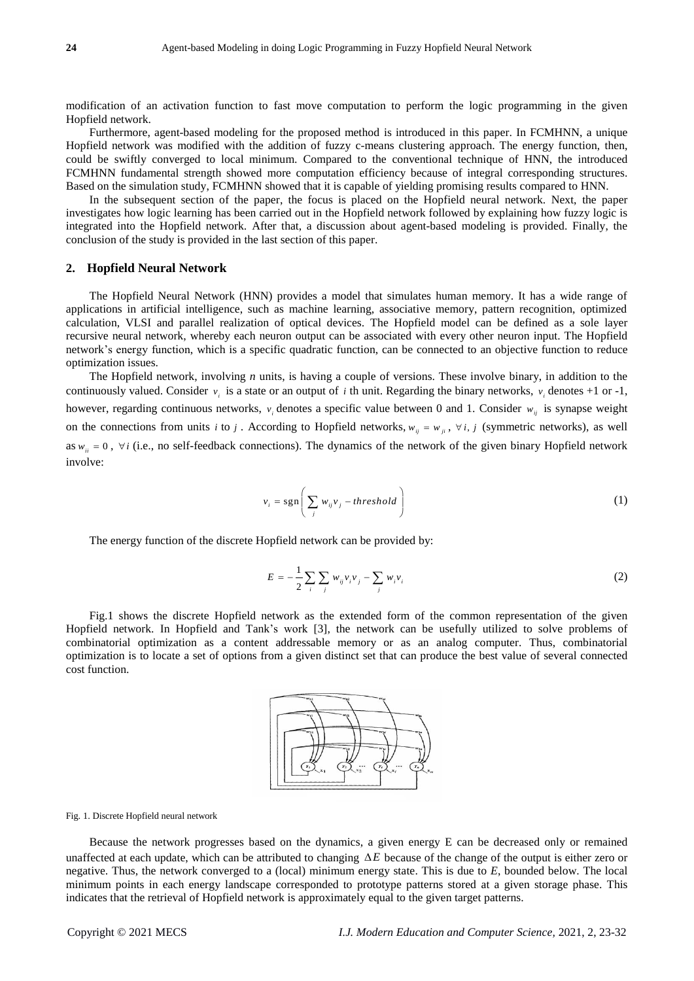modification of an activation function to fast move computation to perform the logic programming in the given Hopfield network.

Furthermore, agent-based modeling for the proposed method is introduced in this paper. In FCMHNN, a unique Hopfield network was modified with the addition of fuzzy c-means clustering approach. The energy function, then, could be swiftly converged to local minimum. Compared to the conventional technique of HNN, the introduced FCMHNN fundamental strength showed more computation efficiency because of integral corresponding structures. Based on the simulation study, FCMHNN showed that it is capable of yielding promising results compared to HNN.

In the subsequent section of the paper, the focus is placed on the Hopfield neural network. Next, the paper investigates how logic learning has been carried out in the Hopfield network followed by explaining how fuzzy logic is integrated into the Hopfield network. After that, a discussion about agent-based modeling is provided. Finally, the conclusion of the study is provided in the last section of this paper.

# **2. Hopfield Neural Network**

The Hopfield Neural Network (HNN) provides a model that simulates human memory. It has a wide range of applications in artificial intelligence, such as machine learning, associative memory, pattern recognition, optimized calculation, VLSI and parallel realization of optical devices. The Hopfield model can be defined as a sole layer recursive neural network, whereby each neuron output can be associated with every other neuron input. The Hopfield network's energy function, which is a specific quadratic function, can be connected to an objective function to reduce optimization issues.

The Hopfield network, involving *n* units, is having a couple of versions. These involve binary, in addition to the continuously valued. Consider  $v_i$  is a state or an output of *i* th unit. Regarding the binary networks,  $v_i$  denotes +1 or -1, however, regarding continuous networks,  $v_i$  denotes a specific value between 0 and 1. Consider  $w_{ij}$  is synapse weight on the connections from units *i* to *j*. According to Hopfield networks,  $w_{ij} = w_{ji}$ ,  $\forall i$ , *j* (symmetric networks), as well as  $w_{ii} = 0$ ,  $\forall i$  (i.e., no self-feedback connections). The dynamics of the network of the given binary Hopfield network involve:

$$
v_i = \text{sgn}\left(\sum_j w_{ij} v_j - threshold\right)
$$
 (1)

The energy function of the discrete Hopfield network can be provided by:

$$
E = -\frac{1}{2} \sum_{i} \sum_{j} w_{ij} v_{i} v_{j} - \sum_{j} w_{i} v_{i}
$$
 (2)

Fig.1 shows the discrete Hopfield network as the extended form of the common representation of the given Hopfield network. In Hopfield and Tank's work [3], the network can be usefully utilized to solve problems of combinatorial optimization as a content addressable memory or as an analog computer. Thus, combinatorial optimization is to locate a set of options from a given distinct set that can produce the best value of several connected cost function.



#### Fig. 1. Discrete Hopfield neural network

Because the network progresses based on the dynamics, a given energy E can be decreased only or remained unaffected at each update, which can be attributed to changing  $\Delta E$  because of the change of the output is either zero or negative. Thus, the network converged to a (local) minimum energy state. This is due to *E*, bounded below. The local minimum points in each energy landscape corresponded to prototype patterns stored at a given storage phase. This indicates that the retrieval of Hopfield network is approximately equal to the given target patterns.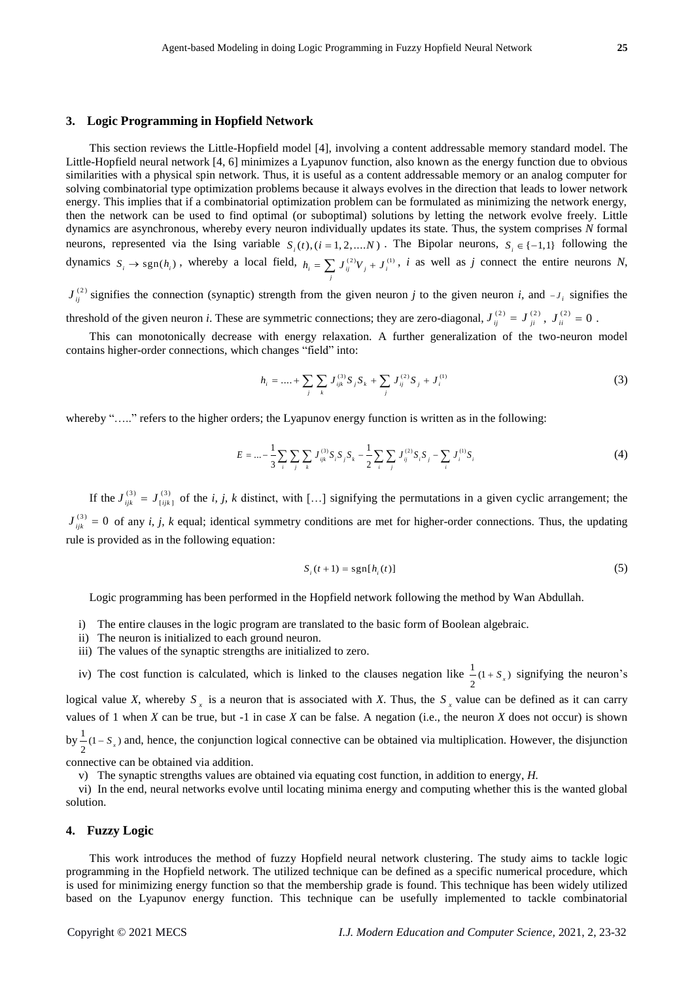#### **3. Logic Programming in Hopfield Network**

This section reviews the Little-Hopfield model [4], involving a content addressable memory standard model. The Little-Hopfield neural network [4, 6] minimizes a Lyapunov function, also known as the energy function due to obvious similarities with a physical spin network. Thus, it is useful as a content addressable memory or an analog computer for solving combinatorial type optimization problems because it always evolves in the direction that leads to lower network energy. This implies that if a combinatorial optimization problem can be formulated as minimizing the network energy, then the network can be used to find optimal (or suboptimal) solutions by letting the network evolve freely. Little dynamics are asynchronous, whereby every neuron individually updates its state. Thus, the system comprises *N* formal neurons, represented via the Ising variable  $S_i(t)$ ,  $(i = 1, 2, \dots, N)$ . The Bipolar neurons,  $S_i \in \{-1, 1\}$  following the dynamics  $S_i \to \text{sgn}(h_i)$ , whereby a local field,  $h_i = \sum_j J_{ij}^{(2)} V_j + J_i^{(1)}$ , *i* as well as *j* connect the entire neurons *N*,

 $J_{ij}^{(2)}$  signifies the connection (synaptic) strength from the given neuron *j* to the given neuron *i*, and  $-J_i$  signifies the threshold of the given neuron *i*. These are symmetric connections; they are zero-diagonal,  $J_{ij}^{(2)} = J_{ji}^{(2)}$ ,  $J_{ii}^{(2)} = 0$ .

This can monotonically decrease with energy relaxation. A further generalization of the two-neuron model contains higher-order connections, which changes "field" into:

$$
h_i = \dots + \sum_j \sum_k J_{ijk}^{(3)} S_j S_k + \sum_j J_{ij}^{(2)} S_j + J_i^{(1)}
$$
\n(3)

whereby "....." refers to the higher orders; the Lyapunov energy function is written as in the following:

$$
E = \dots - \frac{1}{3} \sum_{i} \sum_{j} \sum_{k} J_{ijk}^{(3)} S_{i} S_{j} S_{k} - \frac{1}{2} \sum_{i} \sum_{j} J_{ij}^{(2)} S_{i} S_{j} - \sum_{i} J_{i}^{(1)} S_{i}
$$
(4)

If the  $J_{ijk}^{(3)} = J_{ijk}^{(3)}$  of the *i, j, k* distinct, with [...] signifying the permutations in a given cyclic arrangement; the  $J_{ijk}^{(3)} = 0$  of any *i, j, k* equal; identical symmetry conditions are met for higher-order connections. Thus, the updating rule is provided as in the following equation:

$$
S_i(t+1) = \text{sgn}[h_i(t)] \tag{5}
$$

Logic programming has been performed in the Hopfield network following the method by Wan Abdullah.

- i) The entire clauses in the logic program are translated to the basic form of Boolean algebraic.
- ii) The neuron is initialized to each ground neuron.
- iii) The values of the synaptic strengths are initialized to zero.

iv) The cost function is calculated, which is linked to the clauses negation like  $\frac{1}{2}(1 + S_x)$  signifying the neuron's logical value *X*, whereby  $S_x$  is a neuron that is associated with *X*. Thus, the  $S_x$  value can be defined as it can carry values of 1 when *X* can be true, but -1 in case *X* can be false. A negation (i.e., the neuron *X* does not occur) is shown by  $\frac{1}{2}(1-S_x)$  and, hence, the conjunction logical connective can be obtained via multiplication. However, the disjunction

connective can be obtained via addition.

v) The synaptic strengths values are obtained via equating cost function, in addition to energy, *H.*

vi) In the end, neural networks evolve until locating minima energy and computing whether this is the wanted global solution.

# **4. Fuzzy Logic**

This work introduces the method of fuzzy Hopfield neural network clustering. The study aims to tackle logic programming in the Hopfield network. The utilized technique can be defined as a specific numerical procedure, which is used for minimizing energy function so that the membership grade is found. This technique has been widely utilized based on the Lyapunov energy function. This technique can be usefully implemented to tackle combinatorial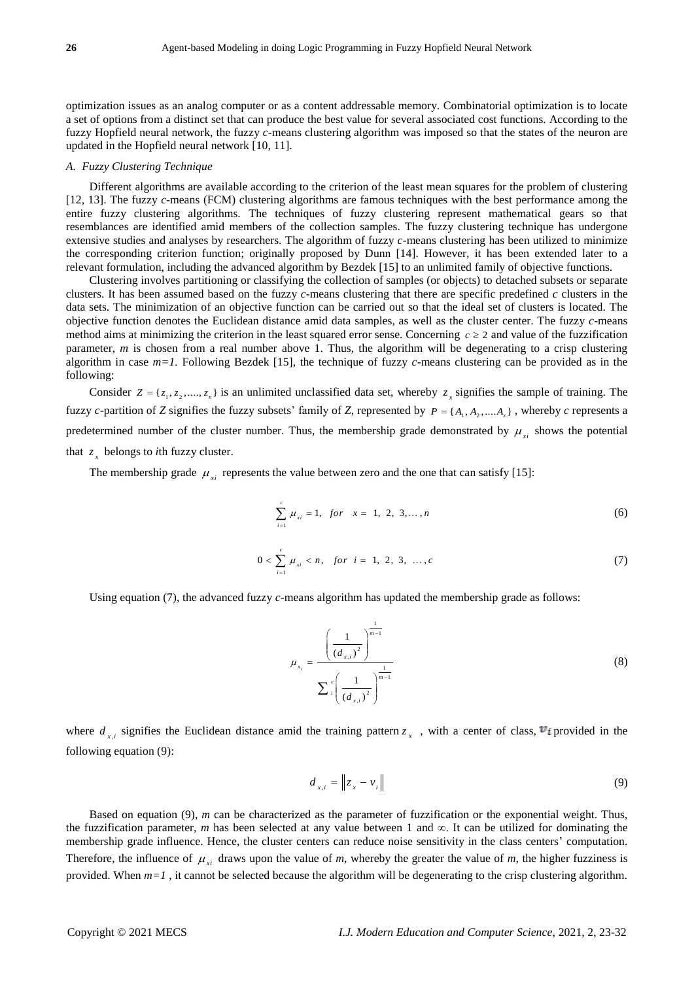optimization issues as an analog computer or as a content addressable memory. Combinatorial optimization is to locate a set of options from a distinct set that can produce the best value for several associated cost functions. According to the fuzzy Hopfield neural network, the fuzzy *c*-means clustering algorithm was imposed so that the states of the neuron are updated in the Hopfield neural network [10, 11].

#### *A. Fuzzy Clustering Technique*

Different algorithms are available according to the criterion of the least mean squares for the problem of clustering [12, 13]. The fuzzy *c*-means (FCM) clustering algorithms are famous techniques with the best performance among the entire fuzzy clustering algorithms. The techniques of fuzzy clustering represent mathematical gears so that resemblances are identified amid members of the collection samples. The fuzzy clustering technique has undergone extensive studies and analyses by researchers. The algorithm of fuzzy *c*-means clustering has been utilized to minimize the corresponding criterion function; originally proposed by Dunn [14]. However, it has been extended later to a relevant formulation, including the advanced algorithm by Bezdek [15] to an unlimited family of objective functions.

Clustering involves partitioning or classifying the collection of samples (or objects) to detached subsets or separate clusters. It has been assumed based on the fuzzy *c*-means clustering that there are specific predefined *c* clusters in the data sets. The minimization of an objective function can be carried out so that the ideal set of clusters is located. The objective function denotes the Euclidean distance amid data samples, as well as the cluster center. The fuzzy *c*-means method aims at minimizing the criterion in the least squared error sense. Concerning  $c \geq 2$  and value of the fuzzification parameter, *m* is chosen from a real number above 1. Thus, the algorithm will be degenerating to a crisp clustering algorithm in case *m=1.* Following Bezdek [15], the technique of fuzzy *c*-means clustering can be provided as in the following:

Consider  $Z = \{z_1, z_2, \dots, z_n\}$  is an unlimited unclassified data set, whereby  $z_x$  signifies the sample of training. The fuzzy *c*-partition of *Z* signifies the fuzzy subsets' family of *Z*, represented by  $P = \{A_1, A_2, \dots, A_n\}$ , whereby *c* represents a predetermined number of the cluster number. Thus, the membership grade demonstrated by  $\mu_{xi}$  shows the potential that  $z<sub>x</sub>$  belongs to *i*th fuzzy cluster.

The membership grade  $\mu_{xi}$  represents the value between zero and the one that can satisfy [15]:

$$
\sum_{i=1}^{c} \mu_{xi} = 1, \text{ for } x = 1, 2, 3, ..., n
$$
 (6)

$$
0 < \sum_{i=1}^{c} \mu_{xi} < n, \quad \text{for} \quad i = 1, \ 2, \ 3, \ \dots, c \tag{7}
$$

Using equation (7), the advanced fuzzy *c*-means algorithm has updated the membership grade as follows:

$$
\mu_{x_i} = \frac{\left(\frac{1}{(d_{x,i})^2}\right)^{\frac{1}{m-1}}}{\sum_{i}^{c} \left(\frac{1}{(d_{x,i})^2}\right)^{\frac{1}{m-1}}}
$$
\n(8)

where  $d_{x,i}$  signifies the Euclidean distance amid the training pattern  $z_x$ , with a center of class,  $v_i$  provided in the following equation (9):

$$
d_{x,i} = \left\| z_x - v_i \right\| \tag{9}
$$

Based on equation (9), *m* can be characterized as the parameter of fuzzification or the exponential weight. Thus, the fuzzification parameter, *m* has been selected at any value between 1 and  $\infty$ . It can be utilized for dominating the membership grade influence. Hence, the cluster centers can reduce noise sensitivity in the class centers' computation. Therefore, the influence of  $\mu_{xi}$  draws upon the value of *m*, whereby the greater the value of *m*, the higher fuzziness is provided. When *m=1* , it cannot be selected because the algorithm will be degenerating to the crisp clustering algorithm.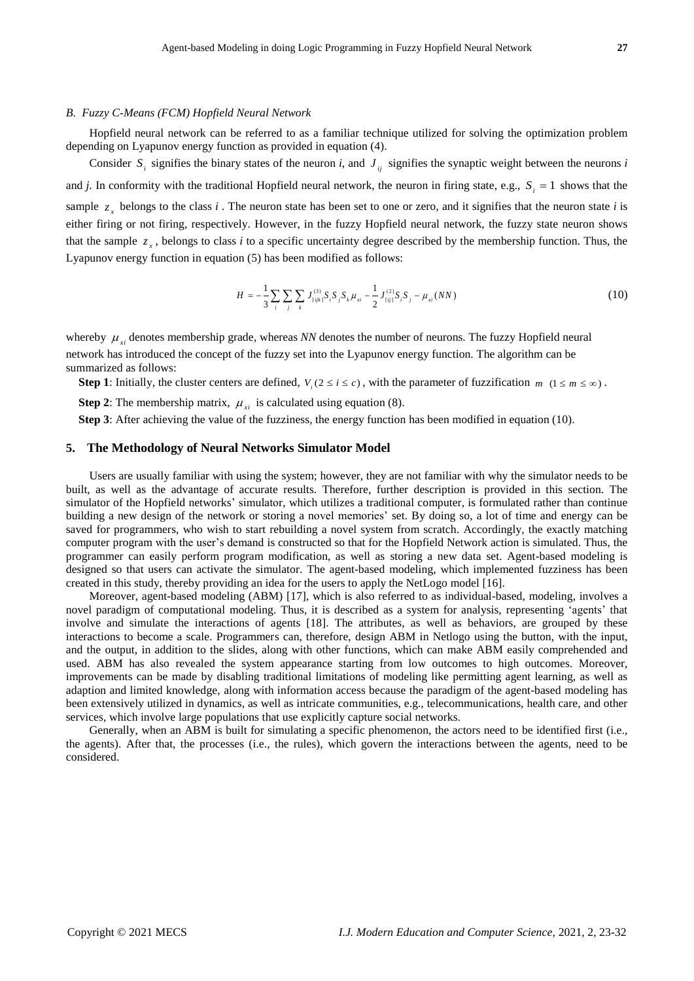#### *B. Fuzzy C-Means (FCM) Hopfield Neural Network*

Hopfield neural network can be referred to as a familiar technique utilized for solving the optimization problem depending on Lyapunov energy function as provided in equation (4).

Consider  $S_i$  signifies the binary states of the neuron *i*, and  $J_{ij}$  signifies the synaptic weight between the neurons *i* and *j*. In conformity with the traditional Hopfield neural network, the neuron in firing state, e.g.,  $S_i = 1$  shows that the sample  $z<sub>x</sub>$  belongs to the class *i*. The neuron state has been set to one or zero, and it signifies that the neuron state *i* is either firing or not firing, respectively. However, in the fuzzy Hopfield neural network, the fuzzy state neuron shows that the sample  $z<sub>x</sub>$ , belongs to class *i* to a specific uncertainty degree described by the membership function. Thus, the Lyapunov energy function in equation (5) has been modified as follows:

$$
H = -\frac{1}{3} \sum_{i} \sum_{j} \sum_{k} J_{\{ijk\}}^{(3)} S_{i} S_{j} S_{k} \mu_{xi} - \frac{1}{2} J_{\{ij\}}^{(2)} S_{i} S_{j} - \mu_{xi}(NN)
$$
\n(10)

whereby  $\mu_{xi}$  denotes membership grade, whereas *NN* denotes the number of neurons. The fuzzy Hopfield neural network has introduced the concept of the fuzzy set into the Lyapunov energy function. The algorithm can be summarized as follows:

**Step 1**: Initially, the cluster centers are defined,  $V_i$  ( $2 \le i \le c$ ), with the parameter of fuzzification  $m$  ( $1 \le m \le \infty$ ).

**Step 2:** The membership matrix,  $\mu_{xi}$  is calculated using equation (8).

**Step 3**: After achieving the value of the fuzziness, the energy function has been modified in equation (10).

## **5. The Methodology of Neural Networks Simulator Model**

Users are usually familiar with using the system; however, they are not familiar with why the simulator needs to be built, as well as the advantage of accurate results. Therefore, further description is provided in this section. The simulator of the Hopfield networks' simulator, which utilizes a traditional computer, is formulated rather than continue building a new design of the network or storing a novel memories' set. By doing so, a lot of time and energy can be saved for programmers, who wish to start rebuilding a novel system from scratch. Accordingly, the exactly matching computer program with the user's demand is constructed so that for the Hopfield Network action is simulated. Thus, the programmer can easily perform program modification, as well as storing a new data set. Agent-based modeling is designed so that users can activate the simulator. The agent-based modeling, which implemented fuzziness has been created in this study, thereby providing an idea for the users to apply the NetLogo model [16].

Moreover, agent-based modeling (ABM) [17], which is also referred to as individual-based, modeling, involves a novel paradigm of computational modeling. Thus, it is described as a system for analysis, representing 'agents' that involve and simulate the interactions of agents [18]. The attributes, as well as behaviors, are grouped by these interactions to become a scale. Programmers can, therefore, design ABM in Netlogo using the button, with the input, and the output, in addition to the slides, along with other functions, which can make ABM easily comprehended and used. ABM has also revealed the system appearance starting from low outcomes to high outcomes. Moreover, improvements can be made by disabling traditional limitations of modeling like permitting agent learning, as well as adaption and limited knowledge, along with information access because the paradigm of the agent-based modeling has been extensively utilized in dynamics, as well as intricate communities, e.g., telecommunications, health care, and other services, which involve large populations that use explicitly capture social networks.

Generally, when an ABM is built for simulating a specific phenomenon, the actors need to be identified first (i.e., the agents). After that, the processes (i.e., the rules), which govern the interactions between the agents, need to be considered.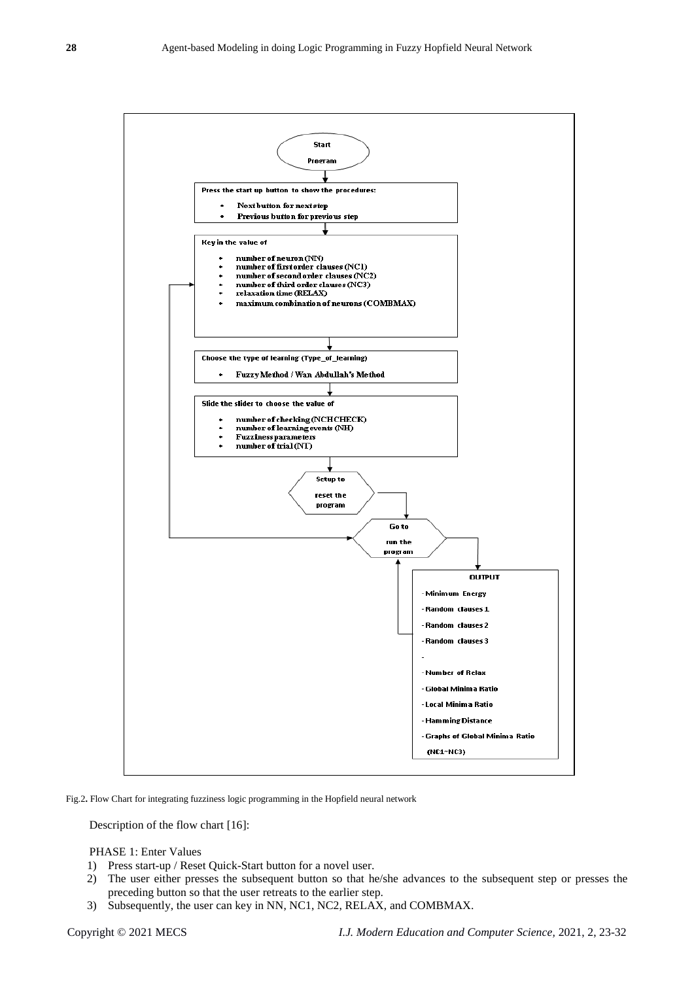

Fig.2**.** Flow Chart for integrating fuzziness logic programming in the Hopfield neural network

Description of the flow chart [16]:

PHASE 1: Enter Values

- 1) Press start-up / Reset Quick-Start button for a novel user.
- 2) The user either presses the subsequent button so that he/she advances to the subsequent step or presses the preceding button so that the user retreats to the earlier step.
- 3) Subsequently, the user can key in NN, NC1, NC2, RELAX, and COMBMAX.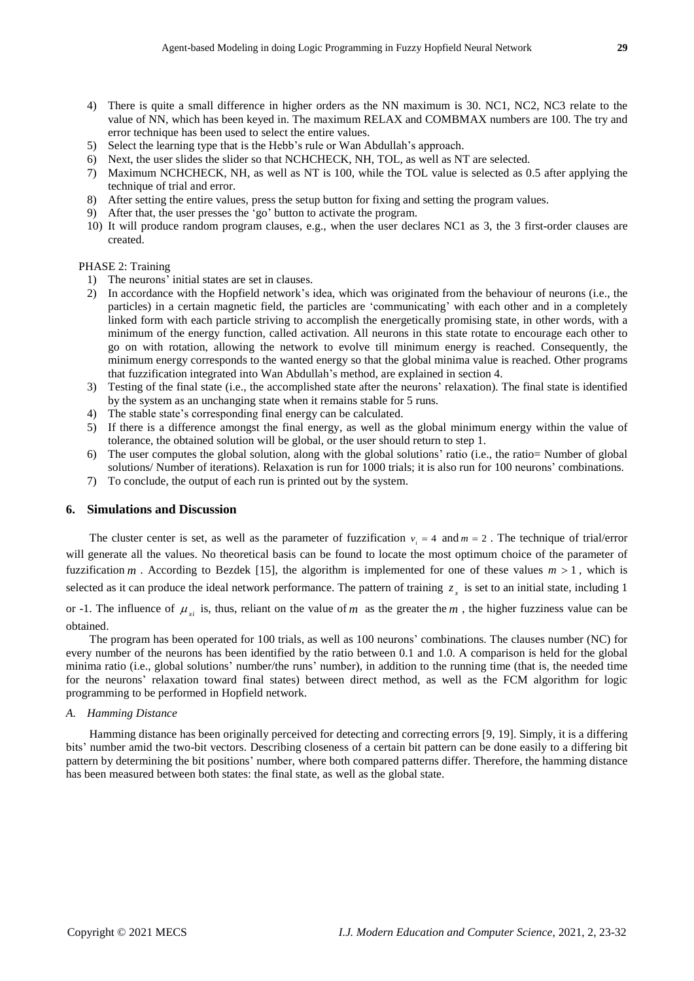- 4) There is quite a small difference in higher orders as the NN maximum is 30. NC1, NC2, NC3 relate to the value of NN, which has been keyed in. The maximum RELAX and COMBMAX numbers are 100. The try and error technique has been used to select the entire values.
- 5) Select the learning type that is the Hebb's rule or Wan Abdullah's approach.
- 6) Next, the user slides the slider so that NCHCHECK, NH, TOL, as well as NT are selected.
- 7) Maximum NCHCHECK, NH, as well as NT is 100, while the TOL value is selected as 0.5 after applying the technique of trial and error.
- 8) After setting the entire values, press the setup button for fixing and setting the program values.
- 9) After that, the user presses the 'go' button to activate the program.
- 10) It will produce random program clauses, e.g., when the user declares NC1 as 3, the 3 first-order clauses are created.

## PHASE 2: Training

- 1) The neurons' initial states are set in clauses.
- 2) In accordance with the Hopfield network's idea, which was originated from the behaviour of neurons (i.e., the particles) in a certain magnetic field, the particles are 'communicating' with each other and in a completely linked form with each particle striving to accomplish the energetically promising state, in other words, with a minimum of the energy function, called activation. All neurons in this state rotate to encourage each other to go on with rotation, allowing the network to evolve till minimum energy is reached. Consequently, the minimum energy corresponds to the wanted energy so that the global minima value is reached. Other programs that fuzzification integrated into Wan Abdullah's method, are explained in section 4.
- 3) Testing of the final state (i.e., the accomplished state after the neurons' relaxation). The final state is identified by the system as an unchanging state when it remains stable for 5 runs.
- 4) The stable state's corresponding final energy can be calculated.
- 5) If there is a difference amongst the final energy, as well as the global minimum energy within the value of tolerance, the obtained solution will be global, or the user should return to step 1.
- 6) The user computes the global solution, along with the global solutions' ratio (i.e., the ratio= Number of global solutions/ Number of iterations). Relaxation is run for 1000 trials; it is also run for 100 neurons' combinations.
- 7) To conclude, the output of each run is printed out by the system.

## **6. Simulations and Discussion**

The cluster center is set, as well as the parameter of fuzzification  $v_i = 4$  and  $m = 2$ . The technique of trial/error will generate all the values. No theoretical basis can be found to locate the most optimum choice of the parameter of fuzzification  $m$ . According to Bezdek [15], the algorithm is implemented for one of these values  $m > 1$ , which is selected as it can produce the ideal network performance. The pattern of training  $z<sub>x</sub>$  is set to an initial state, including 1 or -1. The influence of  $\mu_{xi}$  is, thus, reliant on the value of m as the greater the m, the higher fuzziness value can be

obtained.

The program has been operated for 100 trials, as well as 100 neurons' combinations. The clauses number (NC) for every number of the neurons has been identified by the ratio between 0.1 and 1.0. A comparison is held for the global minima ratio (i.e., global solutions' number/the runs' number), in addition to the running time (that is, the needed time for the neurons' relaxation toward final states) between direct method, as well as the FCM algorithm for logic programming to be performed in Hopfield network.

## *A. Hamming Distance*

Hamming distance has been originally perceived for detecting and correcting errors [9, 19]. Simply, it is a differing bits' number amid the two-bit vectors. Describing closeness of a certain bit pattern can be done easily to a differing bit pattern by determining the bit positions' number, where both compared patterns differ. Therefore, the hamming distance has been measured between both states: the final state, as well as the global state.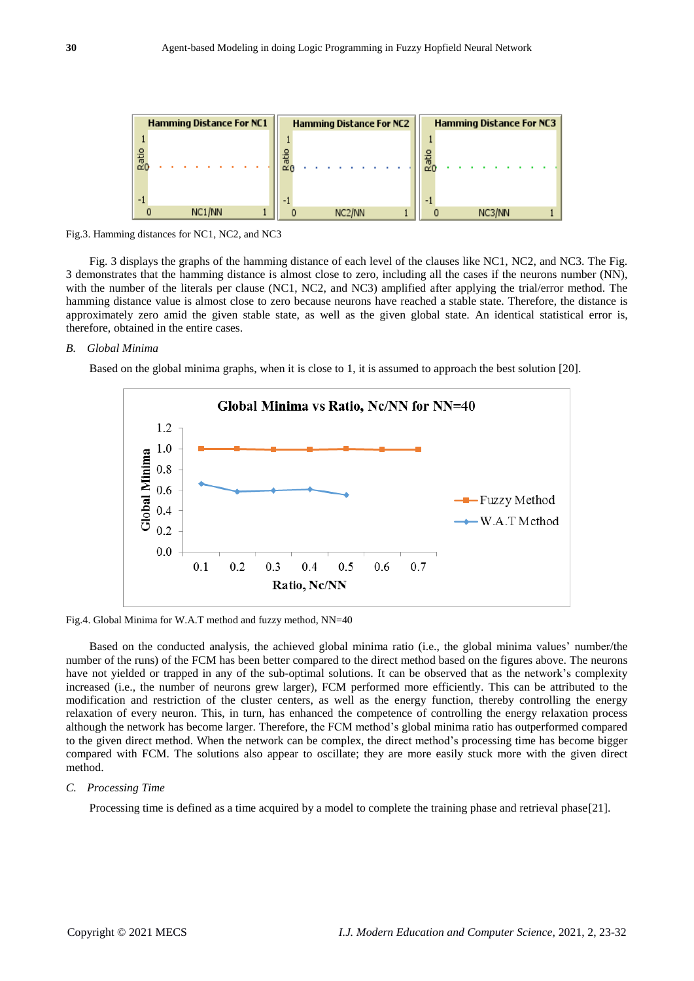| <b>Hamming Distance For NC1</b> |                     |        | <b>Hamming Distance For NC2</b> |                     |  | <b>Hamming Distance For NC3</b> |  |        |  |
|---------------------------------|---------------------|--------|---------------------------------|---------------------|--|---------------------------------|--|--------|--|
|                                 |                     |        |                                 |                     |  |                                 |  |        |  |
| 高                               |                     | 而<br>∝ |                                 |                     |  | 읇<br>cΖ                         |  |        |  |
|                                 | NC <sub>1</sub> /NN |        |                                 | NC <sub>2</sub> /NN |  |                                 |  | NC3/NN |  |

Fig.3. Hamming distances for NC1, NC2, and NC3

Fig. 3 displays the graphs of the hamming distance of each level of the clauses like NC1, NC2, and NC3. The Fig. 3 demonstrates that the hamming distance is almost close to zero, including all the cases if the neurons number (NN), with the number of the literals per clause (NC1, NC2, and NC3) amplified after applying the trial/error method. The hamming distance value is almost close to zero because neurons have reached a stable state. Therefore, the distance is approximately zero amid the given stable state, as well as the given global state. An identical statistical error is, therefore, obtained in the entire cases.

## *B. Global Minima*

Based on the global minima graphs, when it is close to 1, it is assumed to approach the best solution [20].



Fig.4. Global Minima for W.A.T method and fuzzy method, NN=40

Based on the conducted analysis, the achieved global minima ratio (i.e., the global minima values' number/the number of the runs) of the FCM has been better compared to the direct method based on the figures above. The neurons have not yielded or trapped in any of the sub-optimal solutions. It can be observed that as the network's complexity increased (i.e., the number of neurons grew larger), FCM performed more efficiently. This can be attributed to the modification and restriction of the cluster centers, as well as the energy function, thereby controlling the energy relaxation of every neuron. This, in turn, has enhanced the competence of controlling the energy relaxation process although the network has become larger. Therefore, the FCM method's global minima ratio has outperformed compared to the given direct method. When the network can be complex, the direct method's processing time has become bigger compared with FCM. The solutions also appear to oscillate; they are more easily stuck more with the given direct method.

#### *C. Processing Time*

Processing time is defined as a time acquired by a model to complete the training phase and retrieval phase[21].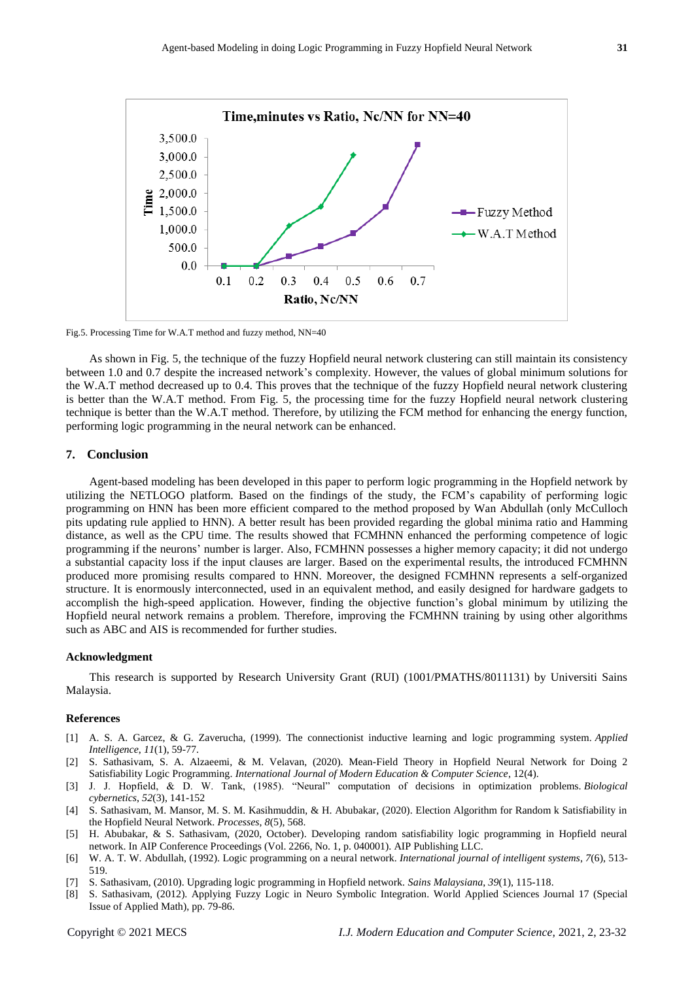

Fig.5. Processing Time for W.A.T method and fuzzy method, NN=40

As shown in Fig. 5, the technique of the fuzzy Hopfield neural network clustering can still maintain its consistency between 1.0 and 0.7 despite the increased network's complexity. However, the values of global minimum solutions for the W.A.T method decreased up to 0.4. This proves that the technique of the fuzzy Hopfield neural network clustering is better than the W.A.T method. From Fig. 5, the processing time for the fuzzy Hopfield neural network clustering technique is better than the W.A.T method. Therefore, by utilizing the FCM method for enhancing the energy function, performing logic programming in the neural network can be enhanced.

# **7. Conclusion**

Agent-based modeling has been developed in this paper to perform logic programming in the Hopfield network by utilizing the NETLOGO platform. Based on the findings of the study, the FCM's capability of performing logic programming on HNN has been more efficient compared to the method proposed by Wan Abdullah (only McCulloch pits updating rule applied to HNN). A better result has been provided regarding the global minima ratio and Hamming distance, as well as the CPU time. The results showed that FCMHNN enhanced the performing competence of logic programming if the neurons' number is larger. Also, FCMHNN possesses a higher memory capacity; it did not undergo a substantial capacity loss if the input clauses are larger. Based on the experimental results, the introduced FCMHNN produced more promising results compared to HNN. Moreover, the designed FCMHNN represents a self-organized structure. It is enormously interconnected, used in an equivalent method, and easily designed for hardware gadgets to accomplish the high-speed application. However, finding the objective function's global minimum by utilizing the Hopfield neural network remains a problem. Therefore, improving the FCMHNN training by using other algorithms such as ABC and AIS is recommended for further studies.

#### **Acknowledgment**

This research is supported by Research University Grant (RUI) (1001/PMATHS/8011131) by Universiti Sains Malaysia.

### **References**

- [1] A. S. A. Garcez, & G. Zaverucha, (1999). The connectionist inductive learning and logic programming system. *Applied Intelligence*, *11*(1), 59-77.
- [2] S. Sathasivam, S. A. Alzaeemi, & M. Velavan, (2020). Mean-Field Theory in Hopfield Neural Network for Doing 2 Satisfiability Logic Programming. *International Journal of Modern Education & Computer Science*, 12(4).
- [3] J. J. Hopfield, & D. W. Tank, (1985). "Neural" computation of decisions in optimization problems. *Biological cybernetics*, *52*(3), 141-152
- [4] S. Sathasivam, M. Mansor, M. S. M. Kasihmuddin, & H. Abubakar, (2020). Election Algorithm for Random k Satisfiability in the Hopfield Neural Network. *Processes*, *8*(5), 568.
- [5] H. Abubakar, & S. Sathasivam, (2020, October). Developing random satisfiability logic programming in Hopfield neural network. In AIP Conference Proceedings (Vol. 2266, No. 1, p. 040001). AIP Publishing LLC.
- [6] W. A. T. W. Abdullah, (1992). Logic programming on a neural network. *International journal of intelligent systems*, *7*(6), 513- 519.
- [7] S. Sathasivam, (2010). Upgrading logic programming in Hopfield network. *Sains Malaysiana*, *39*(1), 115-118.
- [8] S. Sathasivam, (2012). Applying Fuzzy Logic in Neuro Symbolic Integration. World Applied Sciences Journal 17 (Special Issue of Applied Math), pp. 79-86.